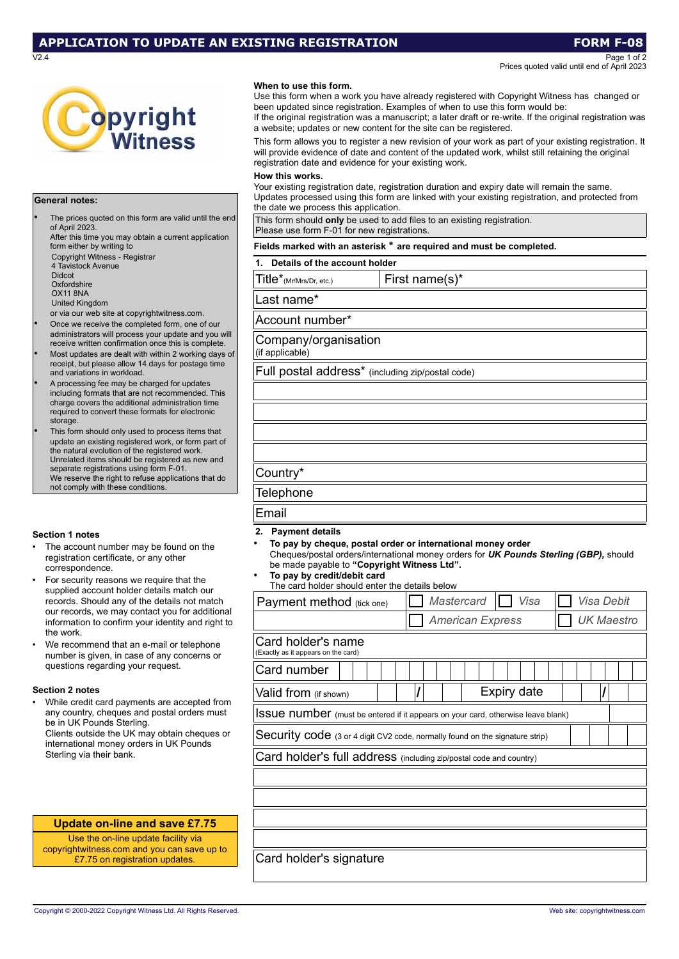# **APPLICATION TO UPDATE AN EXISTING REGISTRATION FORM F-08**

V2.4 Page 1 of 2 Prices quoted valid until end of April 2023



### **General notes:**

The prices quoted on this form are valid until the end of April 2023. After this time you may obtain a current application

form either by writing to Copyright Witness - Registrar 4 Tavistock Avenue Didcot **Oxfordshire** OX11 8NA United Kingdom

or via our web site at copyrightwitness.com.

- Once we receive the completed form, one of our administrators will process your update and you will receive written confirmation once this is complete.
- Most updates are dealt with within 2 working days of receipt, but please allow 14 days for postage time and variations in workload.
- A processing fee may be charged for updates including formats that are not recommended. This charge covers the additional administration time required to convert these formats for electronic storage.
- This form should only used to process items that update an existing registered work, or form part of the natural evolution of the registered work. Unrelated items should be registered as new and separate registrations using form F-01. We reserve the right to refuse applications that do not comply with these conditions.

## **Section 1 notes**

- The account number may be found on the registration certificate, or any other correspondence.
- For security reasons we require that the supplied account holder details match our records. Should any of the details not match our records, we may contact you for additional information to confirm your identity and right to the work.
- We recommend that an e-mail or telephone number is given, in case of any concerns or questions regarding your request.

## **Section 2 notes**

• While credit card payments are accepted from any country, cheques and postal orders must be in UK Pounds Sterling. Clients outside the UK may obtain cheques or international money orders in UK Pounds Sterling via their bank.

# **Update on-line and save £7.75**

Use the on-line update facility via copyrightwitness.com and you can save up to £7.75 on registration updates.

### **When to use this form.**

Use this form when a work you have already registered with Copyright Witness has changed or been updated since registration. Examples of when to use this form would be:

If the original registration was a manuscript; a later draft or re-write. If the original registration was a website; updates or new content for the site can be registered.

This form allows you to register a new revision of your work as part of your existing registration. It will provide evidence of date and content of the updated work, whilst still retaining the original registration date and evidence for your existing work.

### **How this works.**

Your existing registration date, registration duration and expiry date will remain the same. Updates processed using this form are linked with your existing registration, and protected from the date we process this application.

This form should **only** be used to add files to an existing registration. Please use form F-01 for new registrations.

# **Fields marked with an asterisk** \* **are required and must be completed.**

**1. Details of the account holder**

| Title*(Mr/Mrs/Dr, etc.)                          | First name(s)* |  |  |  |  |  |
|--------------------------------------------------|----------------|--|--|--|--|--|
| Last name*                                       |                |  |  |  |  |  |
| Account number*                                  |                |  |  |  |  |  |
| Company/organisation<br>(if applicable)          |                |  |  |  |  |  |
| Full postal address* (including zip/postal code) |                |  |  |  |  |  |
|                                                  |                |  |  |  |  |  |
|                                                  |                |  |  |  |  |  |
|                                                  |                |  |  |  |  |  |
|                                                  |                |  |  |  |  |  |
| Country*                                         |                |  |  |  |  |  |
| <b>Telephone</b>                                 |                |  |  |  |  |  |
| Email                                            |                |  |  |  |  |  |

### **2. Payment details**

- **To pay by cheque, postal order or international money order** Cheques/postal orders/international money orders for *UK Pounds Sterling (GBP),* should be made payable to **"Copyright Witness Ltd".** • **To pay by credit/debit card**
- The card holder should enter the details below

| Payment method (tick one)                                                               |  |  |  |  | Mastercard |                         |  |             | Visa |  |  |  | Visa Debit |            |  |  |
|-----------------------------------------------------------------------------------------|--|--|--|--|------------|-------------------------|--|-------------|------|--|--|--|------------|------------|--|--|
|                                                                                         |  |  |  |  |            | <b>American Express</b> |  |             |      |  |  |  |            | UK Maestro |  |  |
| Card holder's name<br>(Exactly as it appears on the card)                               |  |  |  |  |            |                         |  |             |      |  |  |  |            |            |  |  |
| Card number                                                                             |  |  |  |  |            |                         |  |             |      |  |  |  |            |            |  |  |
| Valid from (if shown)                                                                   |  |  |  |  |            |                         |  | Expiry date |      |  |  |  |            |            |  |  |
| <b>ISSUE NUMBET</b> (must be entered if it appears on your card, otherwise leave blank) |  |  |  |  |            |                         |  |             |      |  |  |  |            |            |  |  |
| Security code (3 or 4 digit CV2 code, normally found on the signature strip)            |  |  |  |  |            |                         |  |             |      |  |  |  |            |            |  |  |
| Card holder's full address (including zip/postal code and country)                      |  |  |  |  |            |                         |  |             |      |  |  |  |            |            |  |  |
|                                                                                         |  |  |  |  |            |                         |  |             |      |  |  |  |            |            |  |  |
|                                                                                         |  |  |  |  |            |                         |  |             |      |  |  |  |            |            |  |  |
|                                                                                         |  |  |  |  |            |                         |  |             |      |  |  |  |            |            |  |  |
|                                                                                         |  |  |  |  |            |                         |  |             |      |  |  |  |            |            |  |  |
| Card holder's signature                                                                 |  |  |  |  |            |                         |  |             |      |  |  |  |            |            |  |  |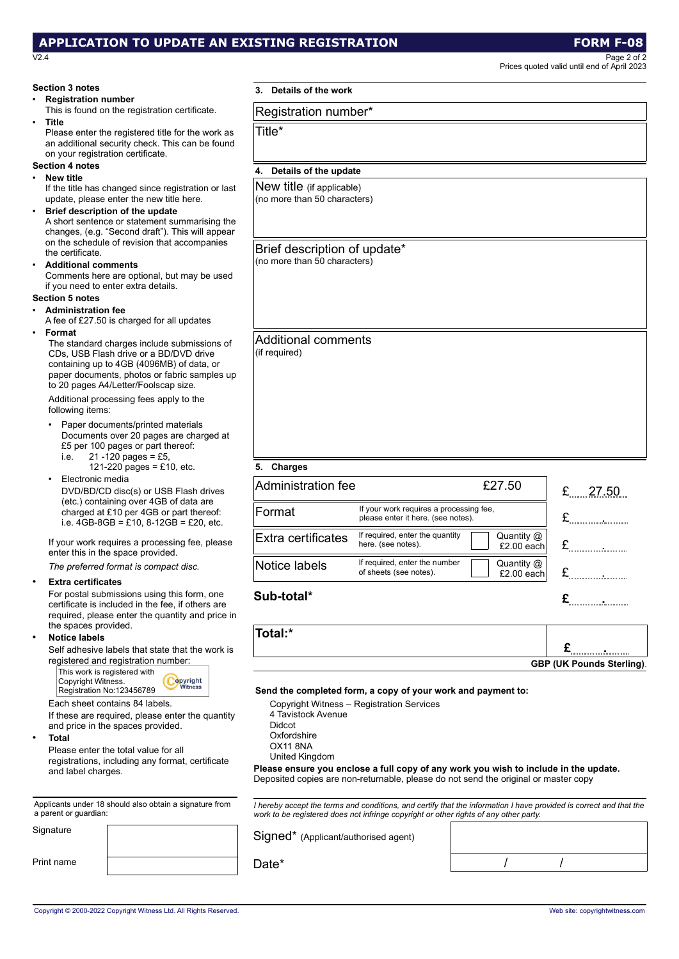# **APPLICATION TO UPDATE AN EXISTING REGISTRATION FORM F-08**

V2.4 Page 2 of 2 Prices quoted valid until end of April 2023

|                                                             |                                                                                                                                                                                                                                         |                                                                                                                                                                                                                                                                 |                                                         |                            | Prices quoted valid until end of April 2023 |  |  |  |  |  |  |
|-------------------------------------------------------------|-----------------------------------------------------------------------------------------------------------------------------------------------------------------------------------------------------------------------------------------|-----------------------------------------------------------------------------------------------------------------------------------------------------------------------------------------------------------------------------------------------------------------|---------------------------------------------------------|----------------------------|---------------------------------------------|--|--|--|--|--|--|
| <b>Section 3 notes</b>                                      |                                                                                                                                                                                                                                         | 3. Details of the work                                                                                                                                                                                                                                          |                                                         |                            |                                             |  |  |  |  |  |  |
| <b>Registration number</b>                                  | This is found on the registration certificate.                                                                                                                                                                                          | Registration number*                                                                                                                                                                                                                                            |                                                         |                            |                                             |  |  |  |  |  |  |
| Title<br>$\bullet$<br>on your registration certificate.     | Please enter the registered title for the work as<br>an additional security check. This can be found                                                                                                                                    | Title*                                                                                                                                                                                                                                                          |                                                         |                            |                                             |  |  |  |  |  |  |
| <b>Section 4 notes</b>                                      |                                                                                                                                                                                                                                         | 4. Details of the update                                                                                                                                                                                                                                        |                                                         |                            |                                             |  |  |  |  |  |  |
| <b>New title</b><br>$\bullet$                               |                                                                                                                                                                                                                                         |                                                                                                                                                                                                                                                                 |                                                         |                            |                                             |  |  |  |  |  |  |
| $\bullet$                                                   | If the title has changed since registration or last<br>update, please enter the new title here.<br>Brief description of the update<br>A short sentence or statement summarising the<br>changes, (e.g. "Second draft"). This will appear | New title (if applicable)<br>(no more than 50 characters)                                                                                                                                                                                                       |                                                         |                            |                                             |  |  |  |  |  |  |
| the certificate.<br><b>Additional comments</b><br>$\bullet$ | on the schedule of revision that accompanies<br>Comments here are optional, but may be used<br>if you need to enter extra details.                                                                                                      | Brief description of update*<br>(no more than 50 characters)                                                                                                                                                                                                    |                                                         |                            |                                             |  |  |  |  |  |  |
| Section 5 notes                                             |                                                                                                                                                                                                                                         |                                                                                                                                                                                                                                                                 |                                                         |                            |                                             |  |  |  |  |  |  |
| <b>Administration fee</b>                                   | A fee of £27.50 is charged for all updates                                                                                                                                                                                              |                                                                                                                                                                                                                                                                 |                                                         |                            |                                             |  |  |  |  |  |  |
| Format                                                      | The standard charges include submissions of<br>CDs, USB Flash drive or a BD/DVD drive<br>containing up to 4GB (4096MB) of data, or<br>paper documents, photos or fabric samples up<br>to 20 pages A4/Letter/Foolscap size.              | <b>Additional comments</b><br>(if required)                                                                                                                                                                                                                     |                                                         |                            |                                             |  |  |  |  |  |  |
| following items:                                            | Additional processing fees apply to the                                                                                                                                                                                                 |                                                                                                                                                                                                                                                                 |                                                         |                            |                                             |  |  |  |  |  |  |
| $\bullet$<br>i.e.                                           | Paper documents/printed materials<br>Documents over 20 pages are charged at<br>£5 per 100 pages or part thereof:<br>$21 - 120$ pages = £5,                                                                                              |                                                                                                                                                                                                                                                                 |                                                         |                            |                                             |  |  |  |  |  |  |
| Electronic media                                            | 121-220 pages = £10, etc.                                                                                                                                                                                                               | 5. Charges                                                                                                                                                                                                                                                      |                                                         |                            |                                             |  |  |  |  |  |  |
|                                                             | DVD/BD/CD disc(s) or USB Flash drives<br>(etc.) containing over 4GB of data are<br>charged at £10 per 4GB or part thereof:                                                                                                              | <b>Administration fee</b><br>Format                                                                                                                                                                                                                             | If your work requires a processing fee,                 | £27.50                     | £<br>27.50                                  |  |  |  |  |  |  |
|                                                             | i.e. $4GB-8GB = £10$ , $8-12GB = £20$ , etc.                                                                                                                                                                                            |                                                                                                                                                                                                                                                                 | please enter it here. (see notes).                      |                            | ${\bf E}$                                   |  |  |  |  |  |  |
|                                                             | If your work requires a processing fee, please<br>enter this in the space provided.                                                                                                                                                     | Extra certificates                                                                                                                                                                                                                                              | If required, enter the quantity<br>here. (see notes).   | Quantity @<br>$£2.00$ each | ${\mathfrak L}$                             |  |  |  |  |  |  |
|                                                             | The preferred format is compact disc.                                                                                                                                                                                                   | Notice labels                                                                                                                                                                                                                                                   | If required, enter the number<br>of sheets (see notes). | Quantity $@$<br>£2.00 each | £                                           |  |  |  |  |  |  |
| <b>Extra certificates</b>                                   | For postal submissions using this form, one<br>certificate is included in the fee, if others are<br>required, please enter the quantity and price in                                                                                    | Sub-total*                                                                                                                                                                                                                                                      |                                                         |                            | £                                           |  |  |  |  |  |  |
| the spaces provided.                                        |                                                                                                                                                                                                                                         | Total:*                                                                                                                                                                                                                                                         |                                                         |                            |                                             |  |  |  |  |  |  |
| <b>Notice labels</b>                                        |                                                                                                                                                                                                                                         |                                                                                                                                                                                                                                                                 |                                                         |                            |                                             |  |  |  |  |  |  |
|                                                             | Self adhesive labels that state that the work is<br>registered and registration number:                                                                                                                                                 |                                                                                                                                                                                                                                                                 |                                                         |                            | £ <sub></sub>                               |  |  |  |  |  |  |
| Copyright Witness.                                          | This work is registered with<br>Copyright<br><b>Witness</b><br>Registration No:123456789                                                                                                                                                | Send the completed form, a copy of your work and payment to:                                                                                                                                                                                                    |                                                         |                            | <b>GBP (UK Pounds Sterling).</b>            |  |  |  |  |  |  |
| <b>Total</b><br>$\bullet$<br>and label charges.             | Each sheet contains 84 labels.<br>If these are required, please enter the quantity<br>and price in the spaces provided.<br>Please enter the total value for all<br>registrations, including any format, certificate                     | 4 Tavistock Avenue<br><b>Didcot</b><br>Oxfordshire<br>OX11 8NA<br>United Kingdom<br>Please ensure you enclose a full copy of any work you wish to include in the update.<br>Deposited copies are non-returnable, please do not send the original or master copy | Copyright Witness - Registration Services               |                            |                                             |  |  |  |  |  |  |
| a parent or guardian:                                       | Applicants under 18 should also obtain a signature from                                                                                                                                                                                 | I hereby accept the terms and conditions, and certify that the information I have provided is correct and that the<br>work to be registered does not infringe copyright or other rights of any other party.                                                     |                                                         |                            |                                             |  |  |  |  |  |  |
| Signature                                                   |                                                                                                                                                                                                                                         | Signed* (Applicant/authorised agent)                                                                                                                                                                                                                            |                                                         |                            |                                             |  |  |  |  |  |  |
| Print name                                                  |                                                                                                                                                                                                                                         | Date*                                                                                                                                                                                                                                                           |                                                         |                            |                                             |  |  |  |  |  |  |

### Copyright © 2000-2022 Copyright Witness Ltd. All Rights Reserved. Web site: copyrightwitness.com Web site: copyrightwitness.com